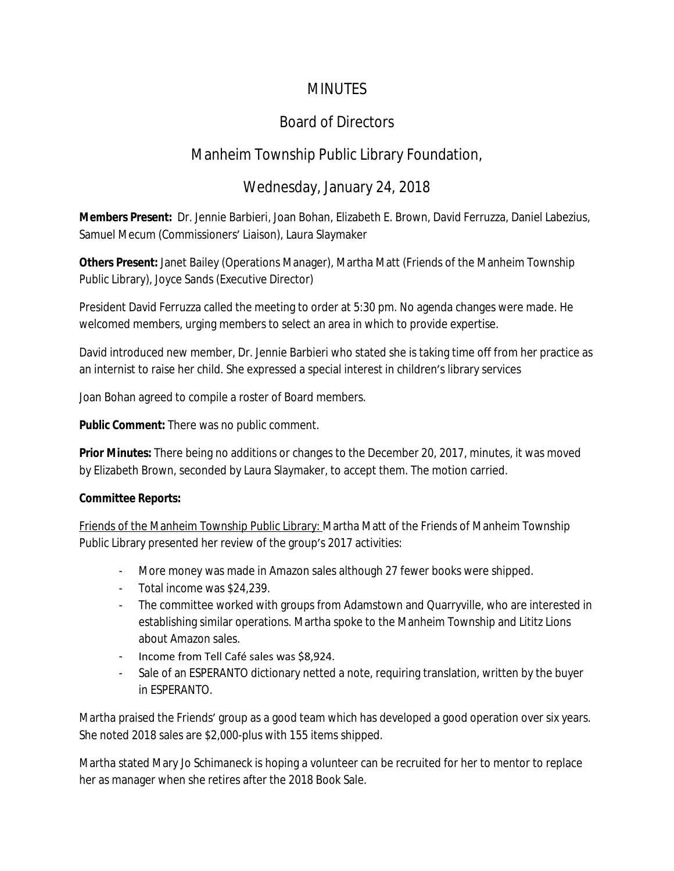#### **MINUTES**

# Board of Directors

### Manheim Township Public Library Foundation,

# Wednesday, January 24, 2018

**Members Present:** Dr. Jennie Barbieri, Joan Bohan, Elizabeth E. Brown, David Ferruzza, Daniel Labezius, Samuel Mecum (Commissioners' Liaison), Laura Slaymaker

**Others Present:** Janet Bailey (Operations Manager), Martha Matt (Friends of the Manheim Township Public Library), Joyce Sands (Executive Director)

President David Ferruzza called the meeting to order at 5:30 pm. No agenda changes were made. He welcomed members, urging members to select an area in which to provide expertise.

David introduced new member, Dr. Jennie Barbieri who stated she is taking time off from her practice as an internist to raise her child. She expressed a special interest in children's library services

Joan Bohan agreed to compile a roster of Board members.

**Public Comment:** There was no public comment.

**Prior Minutes:** There being no additions or changes to the December 20, 2017, minutes, it was moved by Elizabeth Brown, seconded by Laura Slaymaker, to accept them. The motion carried.

#### **Committee Reports:**

Friends of the Manheim Township Public Library: Martha Matt of the Friends of Manheim Township Public Library presented her review of the group's 2017 activities:

- More money was made in Amazon sales although 27 fewer books were shipped.
- Total income was \$24,239.
- The committee worked with groups from Adamstown and Quarryville, who are interested in establishing similar operations. Martha spoke to the Manheim Township and Lititz Lions about Amazon sales.
- Income from Tell Café sales was \$8,924.
- Sale of an ESPERANTO dictionary netted a note, requiring translation, written by the buyer in ESPERANTO.

Martha praised the Friends' group as a good team which has developed a good operation over six years. She noted 2018 sales are \$2,000-plus with 155 items shipped.

Martha stated Mary Jo Schimaneck is hoping a volunteer can be recruited for her to mentor to replace her as manager when she retires after the 2018 Book Sale.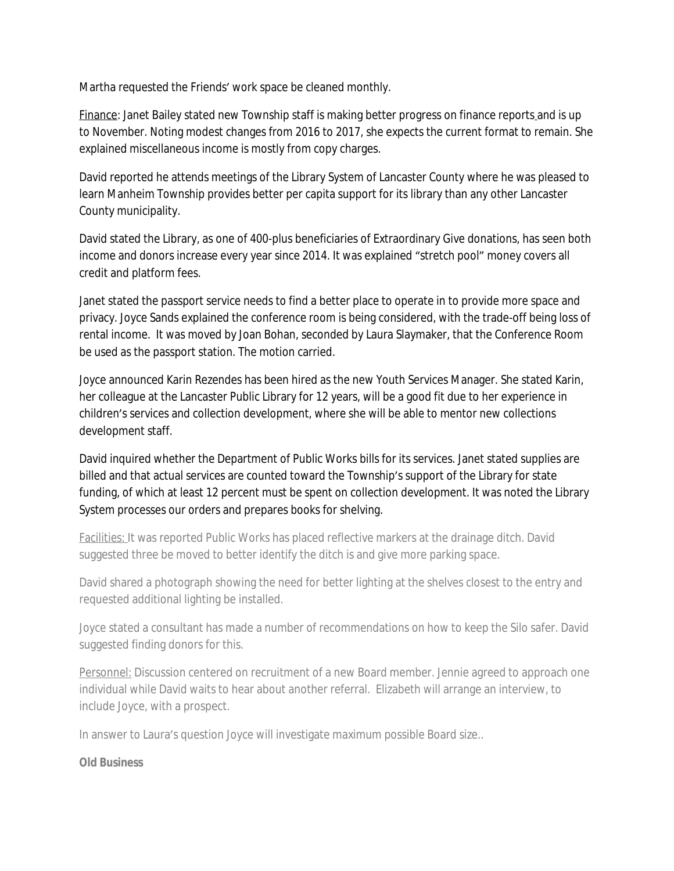Martha requested the Friends' work space be cleaned monthly.

Finance: Janet Bailey stated new Township staff is making better progress on finance reports and is up to November. Noting modest changes from 2016 to 2017, she expects the current format to remain. She explained miscellaneous income is mostly from copy charges.

David reported he attends meetings of the Library System of Lancaster County where he was pleased to learn Manheim Township provides better per capita support for its library than any other Lancaster County municipality.

David stated the Library, as one of 400-plus beneficiaries of Extraordinary Give donations, has seen both income and donors increase every year since 2014. It was explained "stretch pool" money covers all credit and platform fees.

Janet stated the passport service needs to find a better place to operate in to provide more space and privacy. Joyce Sands explained the conference room is being considered, with the trade-off being loss of rental income. It was moved by Joan Bohan, seconded by Laura Slaymaker, that the Conference Room be used as the passport station. The motion carried.

Joyce announced Karin Rezendes has been hired as the new Youth Services Manager. She stated Karin, her colleague at the Lancaster Public Library for 12 years, will be a good fit due to her experience in children's services and collection development, where she will be able to mentor new collections development staff.

David inquired whether the Department of Public Works bills for its services. Janet stated supplies are billed and that actual services are counted toward the Township's support of the Library for state funding, of which at least 12 percent must be spent on collection development. It was noted the Library System processes our orders and prepares books for shelving.

Facilities: It was reported Public Works has placed reflective markers at the drainage ditch. David suggested three be moved to better identify the ditch is and give more parking space.

David shared a photograph showing the need for better lighting at the shelves closest to the entry and requested additional lighting be installed.

Joyce stated a consultant has made a number of recommendations on how to keep the Silo safer. David suggested finding donors for this.

Personnel: Discussion centered on recruitment of a new Board member. Jennie agreed to approach one individual while David waits to hear about another referral. Elizabeth will arrange an interview, to include Joyce, with a prospect.

In answer to Laura's question Joyce will investigate maximum possible Board size..

#### **Old Business**